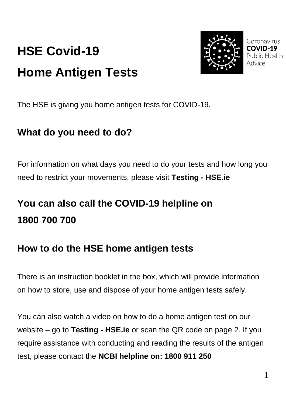# **HSE Covid-19 Home Antigen Tests**



Coronavirus Public Health Advice

The HSE is giving you home antigen tests for COVID-19.

### **What do you need to do?**

For information on what days you need to do your tests and how long you need to restrict your movements, please visit **[Testing -](https://www2.hse.ie/conditions/covid19/testing/) HSE.ie**

## **You can also call the COVID-19 helpline on 1800 700 700**

#### **How to do the HSE home antigen tests**

There is an instruction booklet in the box, which will provide information on how to store, use and dispose of your home antigen tests safely.

You can also watch a video on how to do a home antigen test on our website – go to **[Testing -](https://www2.hse.ie/conditions/covid19/testing/) HSE.ie** or scan the QR code on page 2. If you require assistance with conducting and reading the results of the antigen test, please contact the **NCBI helpline on: 1800 911 250**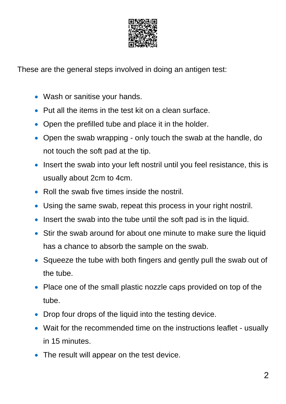

These are the general steps involved in doing an antigen test:

- Wash or sanitise your hands.
- Put all the items in the test kit on a clean surface.
- Open the prefilled tube and place it in the holder.
- Open the swab wrapping only touch the swab at the handle, do not touch the soft pad at the tip.
- Insert the swab into your left nostril until you feel resistance, this is usually about 2cm to 4cm.
- Roll the swab five times inside the nostril.
- Using the same swab, repeat this process in your right nostril.
- Insert the swab into the tube until the soft pad is in the liquid.
- Stir the swab around for about one minute to make sure the liquid has a chance to absorb the sample on the swab.
- Squeeze the tube with both fingers and gently pull the swab out of the tube.
- Place one of the small plastic nozzle caps provided on top of the tube.
- Drop four drops of the liquid into the testing device.
- Wait for the recommended time on the instructions leaflet usually in 15 minutes.
- The result will appear on the test device.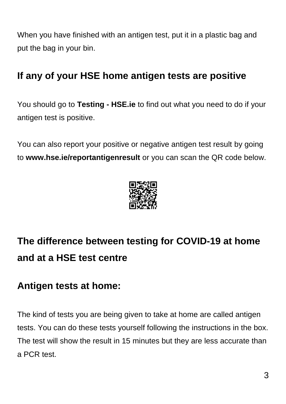When you have finished with an antigen test, put it in a plastic bag and put the bag in your bin.

### **If any of your HSE home antigen tests are positive**

You should go to **[Testing -](https://www2.hse.ie/conditions/covid19/testing/) HSE.ie** to find out what you need to do if your antigen test is positive.

You can also report your positive or negative antigen test result by going to **www.hse.ie/reportantigenresult** or you can scan the QR code below.



# **The difference between testing for COVID-19 at home and at a HSE test centre**

#### **Antigen tests at home:**

The kind of tests you are being given to take at home are called antigen tests. You can do these tests yourself following the instructions in the box. The test will show the result in 15 minutes but they are less accurate than a PCR test.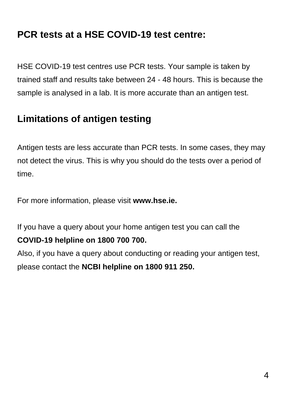#### **PCR tests at a HSE COVID-19 test centre:**

HSE COVID-19 test centres use PCR tests. Your sample is taken by trained staff and results take between 24 - 48 hours. This is because the sample is analysed in a lab. It is more accurate than an antigen test.

#### **Limitations of antigen testing**

Antigen tests are less accurate than PCR tests. In some cases, they may not detect the virus. This is why you should do the tests over a period of time.

For more information, please visit **[www.hse.ie.](http://www.hse.ie/)**

If you have a query about your home antigen test you can call the

#### **COVID-19 helpline on 1800 700 700.**

Also, if you have a query about conducting or reading your antigen test, please contact the **NCBI helpline on 1800 911 250.**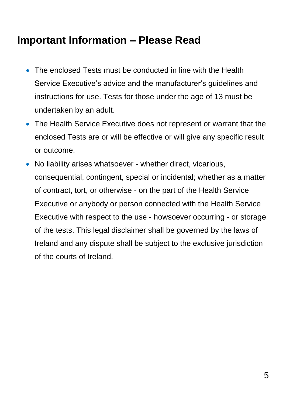### **Important Information – Please Read**

- The enclosed Tests must be conducted in line with the Health Service Executive's advice and the manufacturer's guidelines and instructions for use. Tests for those under the age of 13 must be undertaken by an adult.
- The Health Service Executive does not represent or warrant that the enclosed Tests are or will be effective or will give any specific result or outcome.
- No liability arises whatsoever whether direct, vicarious, consequential, contingent, special or incidental; whether as a matter of contract, tort, or otherwise - on the part of the Health Service Executive or anybody or person connected with the Health Service Executive with respect to the use - howsoever occurring - or storage of the tests. This legal disclaimer shall be governed by the laws of Ireland and any dispute shall be subject to the exclusive jurisdiction of the courts of Ireland.